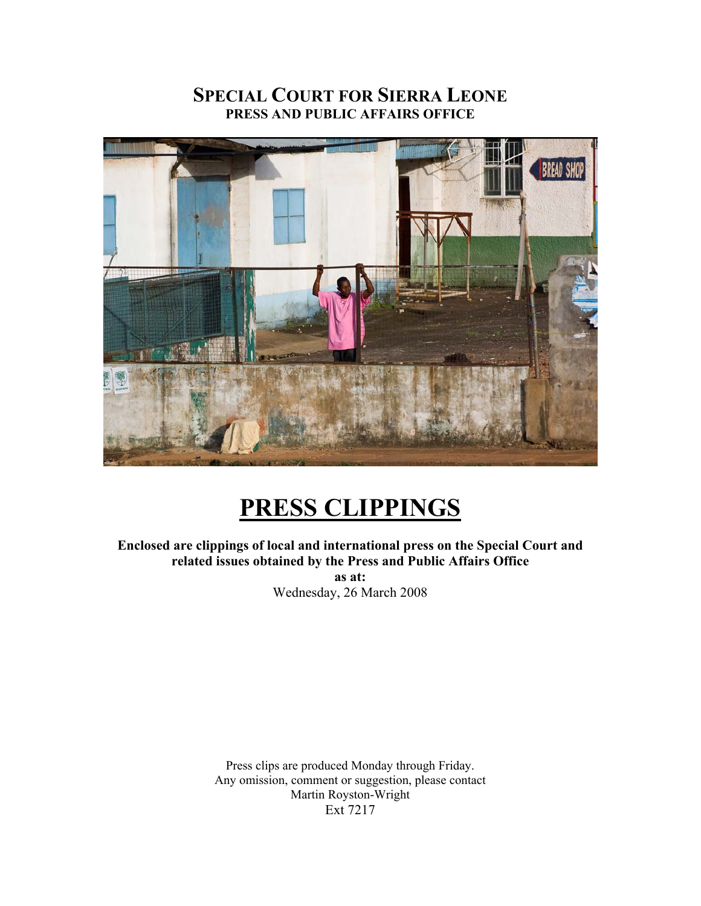# **SPECIAL COURT FOR SIERRA LEONE PRESS AND PUBLIC AFFAIRS OFFICE**



# **PRESS CLIPPINGS**

**Enclosed are clippings of local and international press on the Special Court and related issues obtained by the Press and Public Affairs Office as at:**  Wednesday, 26 March 2008

> Press clips are produced Monday through Friday. Any omission, comment or suggestion, please contact Martin Royston-Wright Ext 7217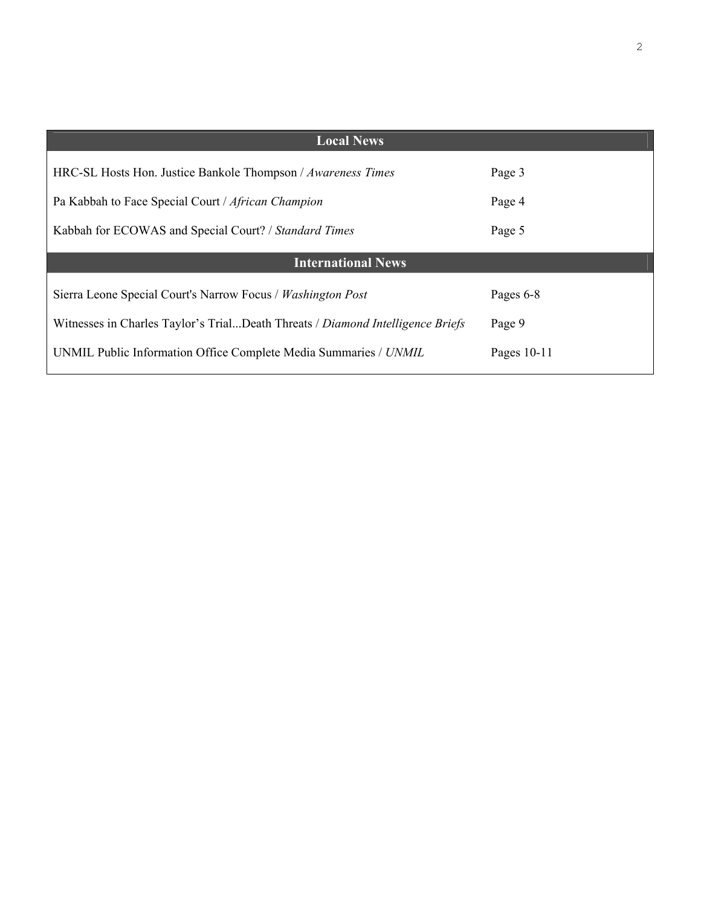| <b>Local News</b>                                                              |             |
|--------------------------------------------------------------------------------|-------------|
| HRC-SL Hosts Hon. Justice Bankole Thompson / Awareness Times                   | Page 3      |
| Pa Kabbah to Face Special Court / African Champion                             | Page 4      |
| Kabbah for ECOWAS and Special Court? / Standard Times                          | Page 5      |
| <b>International News</b>                                                      |             |
| Sierra Leone Special Court's Narrow Focus / Washington Post                    | Pages 6-8   |
|                                                                                |             |
| Witnesses in Charles Taylor's TrialDeath Threats / Diamond Intelligence Briefs | Page 9      |
| UNMIL Public Information Office Complete Media Summaries / UNMIL               | Pages 10-11 |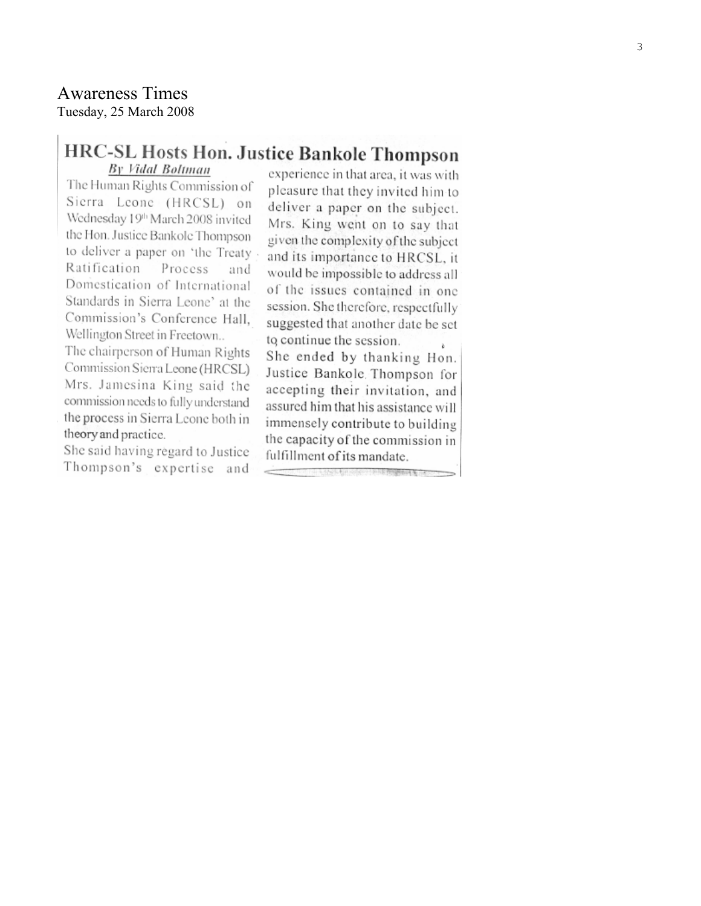# **Awareness Times** Tuesday, 25 March 2008

# HRC-SL Hosts Hon. Justice Bankole Thompson

By Vidal Boltman

The Human Rights Commission of Sierra Leone (HRCSL) on Wednesday 19<sup>th</sup> March 2008 invited the Hon. Justice Bankole Thompson to deliver a paper on 'the Treaty Ratification Process and Domestication of International Standards in Sierra Leone' at the Commission's Conference Hall. Wellington Street in Freetown...

The chairperson of Human Rights Commission Sierra Leone (HRCSL) Mrs. Jamesina King said the commission needs to fully understand the process in Sierra Leone both in theory and practice.

She said having regard to Justice Thompson's expertise and

experience in that area, it was with pleasure that they invited him to deliver a paper on the subject. Mrs. King went on to say that given the complexity of the subject and its importance to HRCSL, it would be impossible to address all of the issues contained in one session. She therefore, respectfully suggested that another date be set to continue the session. ò.

She ended by thanking Hon. Justice Bankole Thompson for accepting their invitation, and assured him that his assistance will immensely contribute to building the capacity of the commission in fulfillment of its mandate.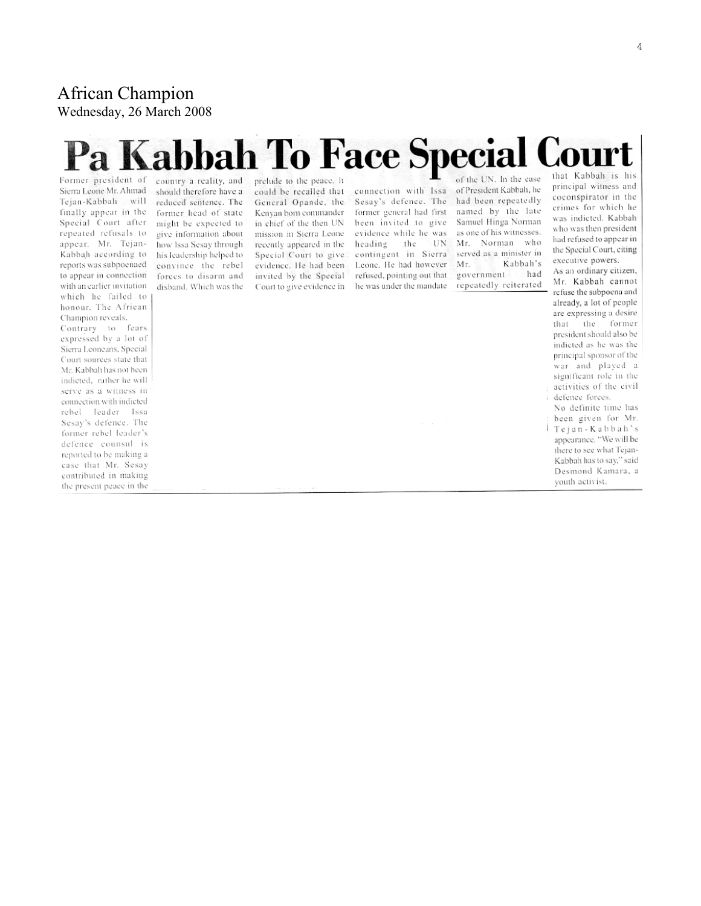# **African Champion** Wednesday, 26 March 2008

# Pa Kabbah To Face Special Cou

Sierra Leone Mr. Ahmad Tejan-Kabbah will finally appear in the Special Court after repeated refusals to appear. Mr. Tejan-Kabbah according to reports was subpoenaed to appear in connection. with an earlier invitation which he failed to honour. The African Champion reveals. Contrary to fears expressed by a lot of Sierra Leoneans, Special Court sources state that Mr. Kabbah has not been indicted, rather he will serve as a witness in connection with indicted rebel leader Issa Sesay's defence. The former rebel leader's defence counsul is reported to be making a case that Mr. Sesay contributed in making the present peace in the

Former president of country a reality, and should therefore have a reduced sentence. The former head of state might be expected to give information about how Issa Sesay through his leadership helped to convince the rebel forces to disarm and disband. Which was the

prelude to the peace. It could be recalled that General Opande, the Kenyan born commander in chief of the then UN mission in Sierra Leone recently appeared in the Special Court to give evidence. He had been invited by the Special Court to give evidence in

connection with Issa Sesay's defence. The former general had first been invited to give evidence while he was heading the UN contingent in Sierra Leone. He had however refused, pointing out that he was under the mandate

of the UN. In the case of President Kabbah, he had been repeatedly named by the late Samuel Hinga Norman as one of his witnesses. Mr. Norman who served as a minister in Kabbah's Mr. government had repeatedly reiterated that Kabbah is his principal witness and coconspirator in the crimes for which he was indicted. Kabbah who was then president had refused to appear in the Special Court, citing executive powers.

As an ordinary citizen, Mr. Kabbah cannot refuse the subpoena and already, a lot of people are expressing a desire that the former president should also be indicted as he was the principal sponsor of the war and played a significant role in the activities of the civil defence forces.

No definite time has been given for Mr. Tejan-Kabbah's appearance. "We will be there to see what Tejan-Kabbah has to say," said Desmond Kamara, a youth activist.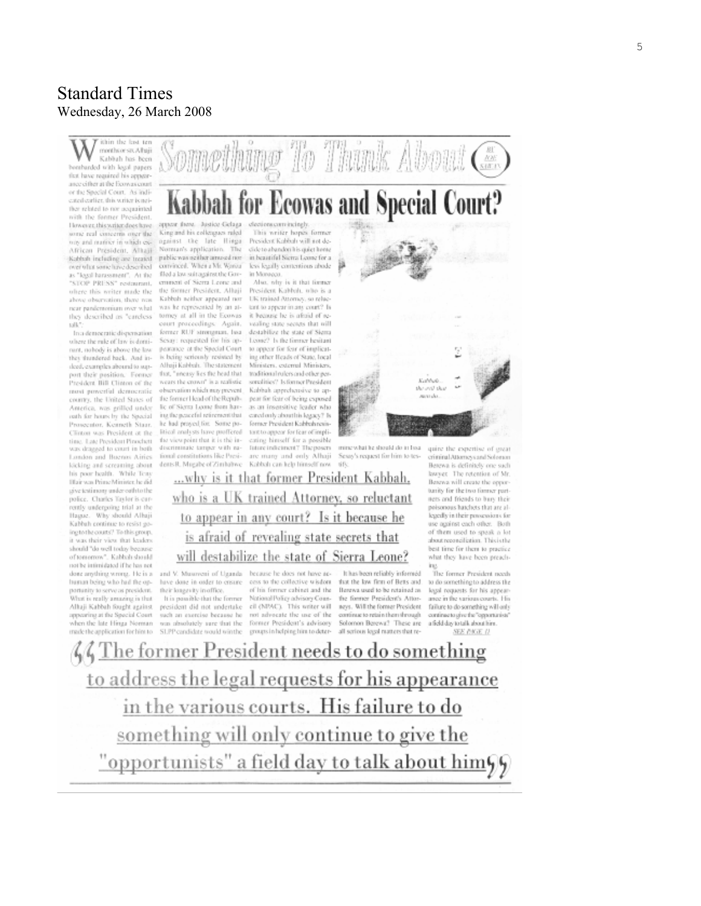# **Standard Times** Wednesday, 26 March 2008

ithin the last termenhor six Altuji Kabbah has been benturded with lessi papers that have required his appearance cither at the Ecowas court or the Special Court. As indiexted earlier, this writer is notther related to nor acquainted with the former President. However, this writer does have some real concerns over the nov and matrice in which ex-African President, Alltaji Kabbah including are treated over what some have described as "legal harassment". At the "STOP PRESS" restaurant. oftere this writer made the above observation, there was near pandemonium over what they described as "earcless talk?

In a democratic dispensation where the rule of law is dominunt, nobody is above the law they thundered back. And indeed, examples abound to support their position. Former President Bill Clinton of the most powerful democratic county, the United States of America, was grilled under outh for hours by the Special Prosecutor, Kenneth Staar, Clinton was President at the ting. Late President Pinochett was dragged to court in both London and Buenos Airies kicking and screaming about his poor health. While Teny Hair was Prime Minister, he did give testimony under-outh to the police. Charles Taylor is carrently undergoing trial at the Hague. Why should Albaji Kabbah continue to resist going to the courts? To this group. it was their view that leaders should "do well today because of tomorrow". Kabbah should not be intimidated if he has not done anything wrong. He is a human being who had the oppartunity to serve as president. What is really amazing is that Alluji Kabbah fought against appearing at the Special Court when the late Hinga Norman



that, "incasy lies the head that wears the crown" is a realistic. observation which may prevent. the former Head of the Republic of Sierra Leone from having the neareful retirement that he had proyed for. Some political analysts have proffered the viewpoint that it is the indiscriminate targer with national constitutions like Presi-

dents R. Mugabe of Zimbabwe ...why is it that former President Kabbah.

This writer hopes former President Kabbah will not decide to abandori his quiet home in beautiful Sierra Leone for a less legally correntious abode in Moregga.

Something To Think About Con

President Kabbah, who is a UK trained Attorney, so reluctent to appear in any court? Is it because he is aftaid of revealing state secrets that will destabilize the state of Siema Loose? Is the former hesitant to appear for fear of implicating other Heads of State, local Ministers, external Ministers, traditional rulers and other personalities? Is former President Kabbah apprehensive to appear for fear of being exposed as an insensitive leader who cared only about his legacy? Is fornser President Kabbah resistant to appear for fear of implieating himself for a possible liture indictment? The posers are many and only Alhaji Kabbah can help himself now



Sexay's request for him to tes- $-171$ 

Berewa is definitely one such lawyer. The retention of Mr. Berewa will create the opporturity for the two former partnets and friends to bury their poisonous hatchets that are allegedly in their powersions for use against each other. Both of them used to speak a lot about reconciliation. This is the best time for them to practice what they have been preach-

The former President needs to do something to address the legal requests for his appeararee in the various courts. His failure to do something will only continue to give the "opportunists" a field day to talk about him. SEE P.K.E. II

ing.

who is a UK trained Attorney, so reluctant to appear in any court? Is it because he is afraid of revealing state secrets that will destabilize the state of Sierra Leone? and V. Musoveni of Uganda because he does not have ac-

have done in order to cristre their longevity in office. It is passible-that the former

president did not undertake such an exercise because he was absolutely sure that the made the application for him to SLPP candidate would win the groups in helping him to deter-all serious legal matters that re-

cess to the collective wisdom of his former cabinet and the National Policy advisory Council (NIMC). This writer will not advocate the use of the former President's advisory

It has been reliably informed that the law firm of Betts and. Berewa used to be retained as the former President's Attorneys. Will the former President continue to retain them through Solomon Berewa? These are

The former President needs to do something to address the legal requests for his appearance in the various courts. His failure to do something will only continue to give the "opportunists" a field day to talk about him99

quire the expertise of great criminal Attorneys and Solvenon 5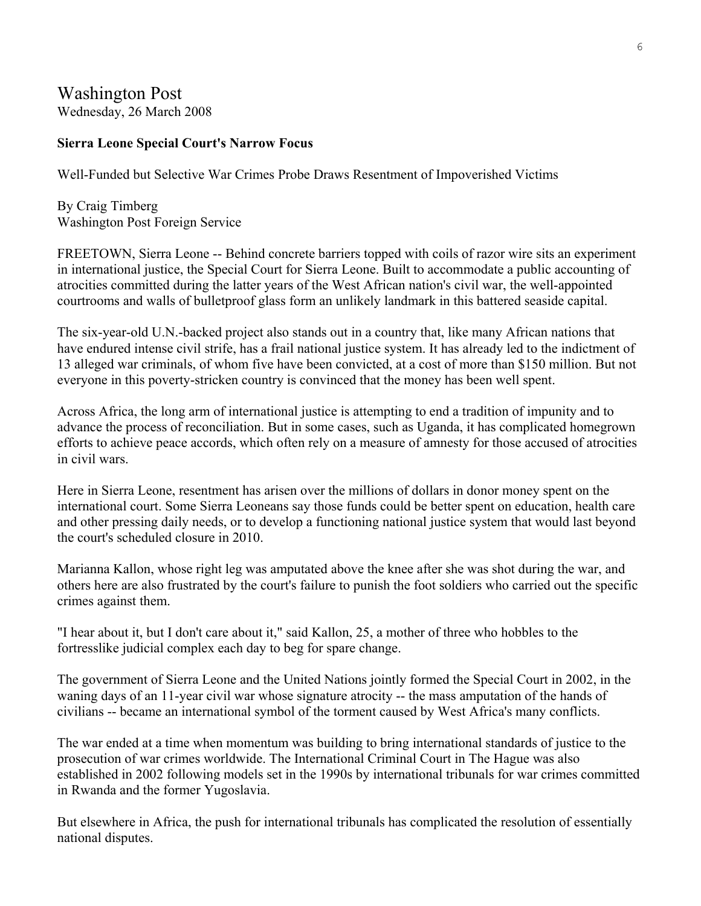# Washington Post Wednesday, 26 March 2008

## **Sierra Leone Special Court's Narrow Focus**

Well-Funded but Selective War Crimes Probe Draws Resentment of Impoverished Victims

By Craig Timberg Washington Post Foreign Service

FREETOWN, Sierra Leone -- Behind concrete barriers topped with coils of razor wire sits an experiment in international justice, the Special Court for Sierra Leone. Built to accommodate a public accounting of atrocities committed during the latter years of the West African nation's civil war, the well-appointed courtrooms and walls of bulletproof glass form an unlikely landmark in this battered seaside capital.

The six-year-old U.N.-backed project also stands out in a country that, like many African nations that have endured intense civil strife, has a frail national justice system. It has already led to the indictment of 13 alleged war criminals, of whom five have been convicted, at a cost of more than \$150 million. But not everyone in this poverty-stricken country is convinced that the money has been well spent.

Across Africa, the long arm of international justice is attempting to end a tradition of impunity and to advance the process of reconciliation. But in some cases, such as Uganda, it has complicated homegrown efforts to achieve peace accords, which often rely on a measure of amnesty for those accused of atrocities in civil wars.

Here in Sierra Leone, resentment has arisen over the millions of dollars in donor money spent on the international court. Some Sierra Leoneans say those funds could be better spent on education, health care and other pressing daily needs, or to develop a functioning national justice system that would last beyond the court's scheduled closure in 2010.

Marianna Kallon, whose right leg was amputated above the knee after she was shot during the war, and others here are also frustrated by the court's failure to punish the foot soldiers who carried out the specific crimes against them.

"I hear about it, but I don't care about it," said Kallon, 25, a mother of three who hobbles to the fortresslike judicial complex each day to beg for spare change.

The government of Sierra Leone and the United Nations jointly formed the Special Court in 2002, in the waning days of an 11-year civil war whose signature atrocity -- the mass amputation of the hands of civilians -- became an international symbol of the torment caused by West Africa's many conflicts.

The war ended at a time when momentum was building to bring international standards of justice to the prosecution of war crimes worldwide. The International Criminal Court in The Hague was also established in 2002 following models set in the 1990s by international tribunals for war crimes committed in Rwanda and the former Yugoslavia.

But elsewhere in Africa, the push for international tribunals has complicated the resolution of essentially national disputes.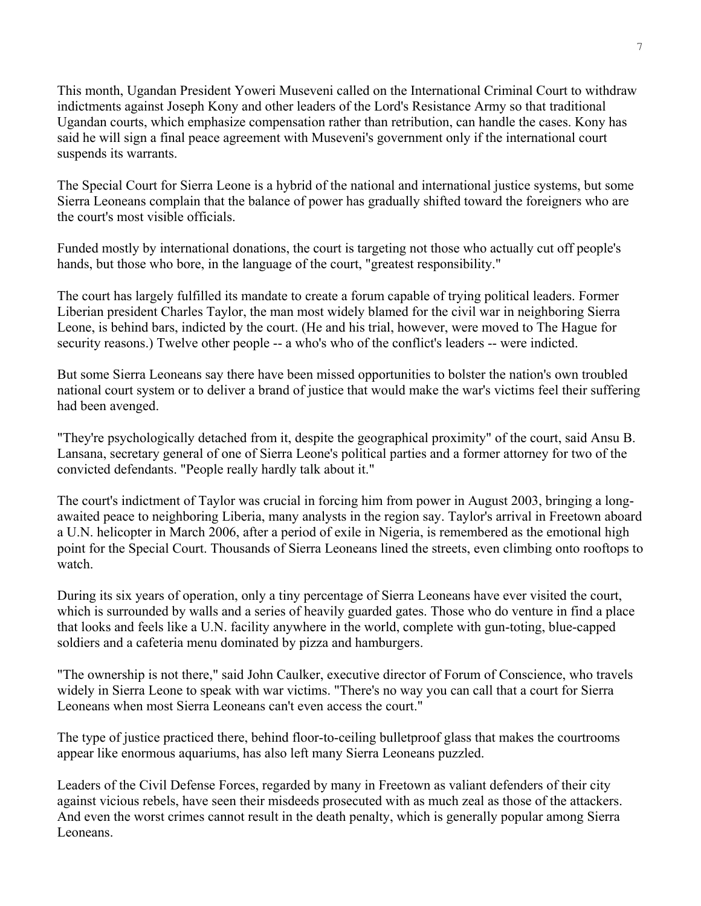This month, Ugandan President Yoweri Museveni called on the International Criminal Court to withdraw indictments against Joseph Kony and other leaders of the Lord's Resistance Army so that traditional Ugandan courts, which emphasize compensation rather than retribution, can handle the cases. Kony has said he will sign a final peace agreement with Museveni's government only if the international court suspends its warrants.

The Special Court for Sierra Leone is a hybrid of the national and international justice systems, but some Sierra Leoneans complain that the balance of power has gradually shifted toward the foreigners who are the court's most visible officials.

Funded mostly by international donations, the court is targeting not those who actually cut off people's hands, but those who bore, in the language of the court, "greatest responsibility."

The court has largely fulfilled its mandate to create a forum capable of trying political leaders. Former Liberian president Charles Taylor, the man most widely blamed for the civil war in neighboring Sierra Leone, is behind bars, indicted by the court. (He and his trial, however, were moved to The Hague for security reasons.) Twelve other people -- a who's who of the conflict's leaders -- were indicted.

But some Sierra Leoneans say there have been missed opportunities to bolster the nation's own troubled national court system or to deliver a brand of justice that would make the war's victims feel their suffering had been avenged.

"They're psychologically detached from it, despite the geographical proximity" of the court, said Ansu B. Lansana, secretary general of one of Sierra Leone's political parties and a former attorney for two of the convicted defendants. "People really hardly talk about it."

The court's indictment of Taylor was crucial in forcing him from power in August 2003, bringing a longawaited peace to neighboring Liberia, many analysts in the region say. Taylor's arrival in Freetown aboard a U.N. helicopter in March 2006, after a period of exile in Nigeria, is remembered as the emotional high point for the Special Court. Thousands of Sierra Leoneans lined the streets, even climbing onto rooftops to watch.

During its six years of operation, only a tiny percentage of Sierra Leoneans have ever visited the court, which is surrounded by walls and a series of heavily guarded gates. Those who do venture in find a place that looks and feels like a U.N. facility anywhere in the world, complete with gun-toting, blue-capped soldiers and a cafeteria menu dominated by pizza and hamburgers.

"The ownership is not there," said John Caulker, executive director of Forum of Conscience, who travels widely in Sierra Leone to speak with war victims. "There's no way you can call that a court for Sierra Leoneans when most Sierra Leoneans can't even access the court."

The type of justice practiced there, behind floor-to-ceiling bulletproof glass that makes the courtrooms appear like enormous aquariums, has also left many Sierra Leoneans puzzled.

Leaders of the Civil Defense Forces, regarded by many in Freetown as valiant defenders of their city against vicious rebels, have seen their misdeeds prosecuted with as much zeal as those of the attackers. And even the worst crimes cannot result in the death penalty, which is generally popular among Sierra Leoneans.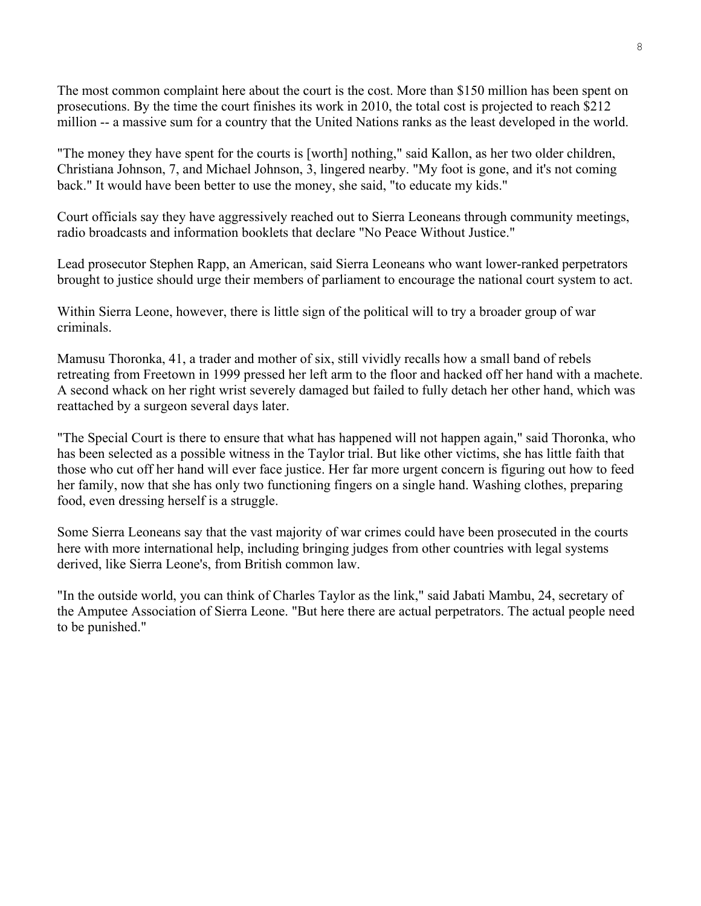The most common complaint here about the court is the cost. More than \$150 million has been spent on prosecutions. By the time the court finishes its work in 2010, the total cost is projected to reach \$212 million -- a massive sum for a country that the United Nations ranks as the least developed in the world.

"The money they have spent for the courts is [worth] nothing," said Kallon, as her two older children, Christiana Johnson, 7, and Michael Johnson, 3, lingered nearby. "My foot is gone, and it's not coming back." It would have been better to use the money, she said, "to educate my kids."

Court officials say they have aggressively reached out to Sierra Leoneans through community meetings, radio broadcasts and information booklets that declare "No Peace Without Justice."

Lead prosecutor Stephen Rapp, an American, said Sierra Leoneans who want lower-ranked perpetrators brought to justice should urge their members of parliament to encourage the national court system to act.

Within Sierra Leone, however, there is little sign of the political will to try a broader group of war criminals.

Mamusu Thoronka, 41, a trader and mother of six, still vividly recalls how a small band of rebels retreating from Freetown in 1999 pressed her left arm to the floor and hacked off her hand with a machete. A second whack on her right wrist severely damaged but failed to fully detach her other hand, which was reattached by a surgeon several days later.

"The Special Court is there to ensure that what has happened will not happen again," said Thoronka, who has been selected as a possible witness in the Taylor trial. But like other victims, she has little faith that those who cut off her hand will ever face justice. Her far more urgent concern is figuring out how to feed her family, now that she has only two functioning fingers on a single hand. Washing clothes, preparing food, even dressing herself is a struggle.

Some Sierra Leoneans say that the vast majority of war crimes could have been prosecuted in the courts here with more international help, including bringing judges from other countries with legal systems derived, like Sierra Leone's, from British common law.

"In the outside world, you can think of Charles Taylor as the link," said Jabati Mambu, 24, secretary of the Amputee Association of Sierra Leone. "But here there are actual perpetrators. The actual people need to be punished."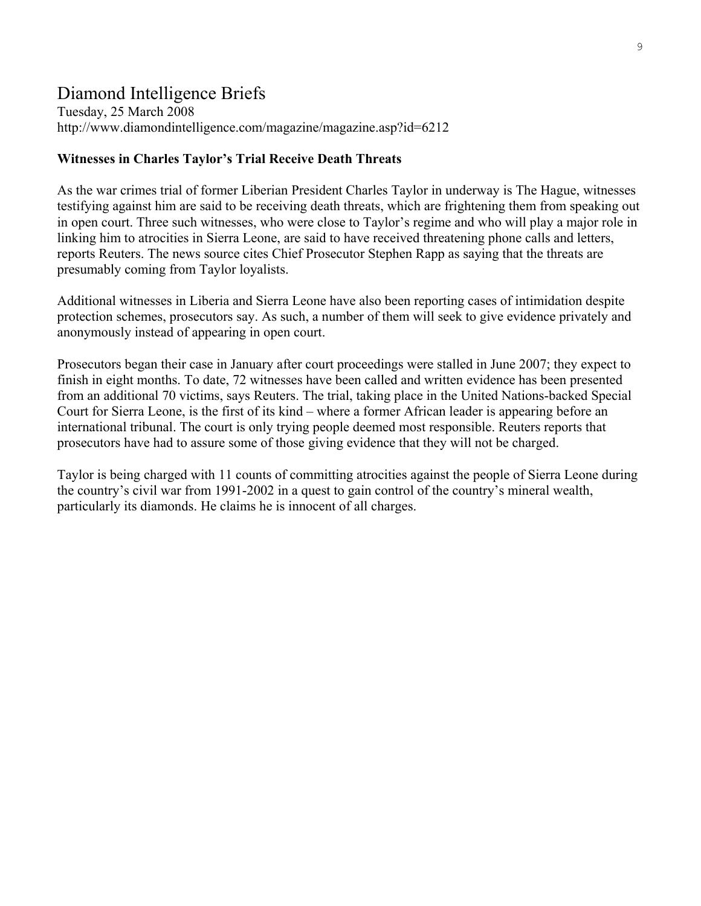# Diamond Intelligence Briefs

Tuesday, 25 March 2008 http://www.diamondintelligence.com/magazine/magazine.asp?id=6212

#### **Witnesses in Charles Taylor's Trial Receive Death Threats**

As the war crimes trial of former Liberian President Charles Taylor in underway is The Hague, witnesses testifying against him are said to be receiving death threats, which are frightening them from speaking out in open court. Three such witnesses, who were close to Taylor's regime and who will play a major role in linking him to atrocities in Sierra Leone, are said to have received threatening phone calls and letters, reports Reuters. The news source cites Chief Prosecutor Stephen Rapp as saying that the threats are presumably coming from Taylor loyalists.

Additional witnesses in Liberia and Sierra Leone have also been reporting cases of intimidation despite protection schemes, prosecutors say. As such, a number of them will seek to give evidence privately and anonymously instead of appearing in open court.

Prosecutors began their case in January after court proceedings were stalled in June 2007; they expect to finish in eight months. To date, 72 witnesses have been called and written evidence has been presented from an additional 70 victims, says Reuters. The trial, taking place in the United Nations-backed Special Court for Sierra Leone, is the first of its kind – where a former African leader is appearing before an international tribunal. The court is only trying people deemed most responsible. Reuters reports that prosecutors have had to assure some of those giving evidence that they will not be charged.

Taylor is being charged with 11 counts of committing atrocities against the people of Sierra Leone during the country's civil war from 1991-2002 in a quest to gain control of the country's mineral wealth, particularly its diamonds. He claims he is innocent of all charges.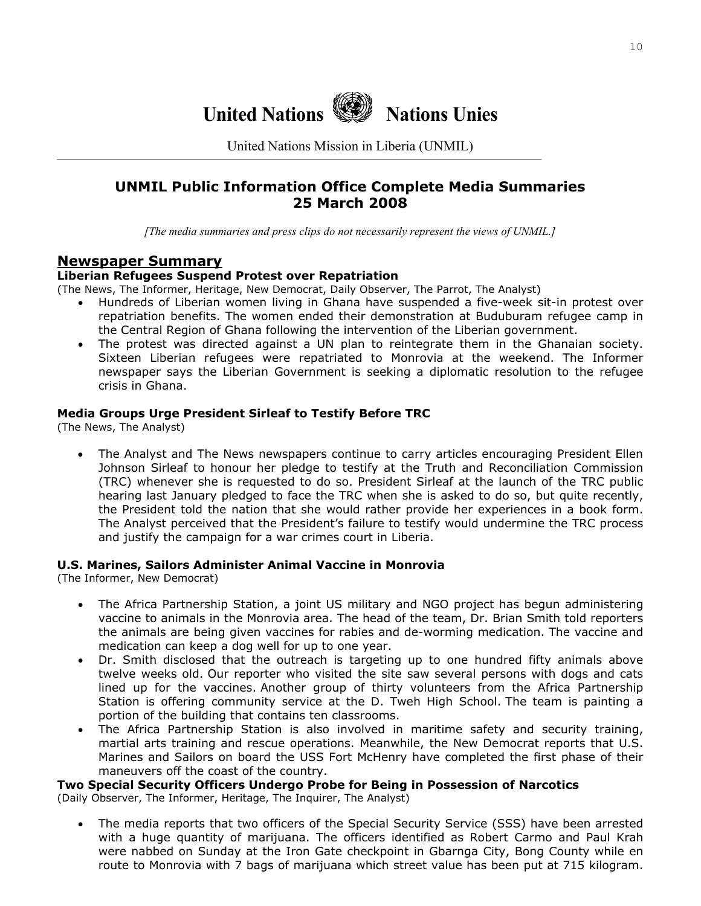

United Nations Mission in Liberia (UNMIL)

# **UNMIL Public Information Office Complete Media Summaries 25 March 2008**

*[The media summaries and press clips do not necessarily represent the views of UNMIL.]*

## **Newspaper Summary**

#### **Liberian Refugees Suspend Protest over Repatriation**

(The News, The Informer, Heritage, New Democrat, Daily Observer, The Parrot, The Analyst)

- Hundreds of Liberian women living in Ghana have suspended a five-week sit-in protest over repatriation benefits. The women ended their demonstration at Buduburam refugee camp in the Central Region of Ghana following the intervention of the Liberian government.
- The protest was directed against a UN plan to reintegrate them in the Ghanaian society. Sixteen Liberian refugees were repatriated to Monrovia at the weekend. The Informer newspaper says the Liberian Government is seeking a diplomatic resolution to the refugee crisis in Ghana.

#### **Media Groups Urge President Sirleaf to Testify Before TRC**

(The News, The Analyst)

• The Analyst and The News newspapers continue to carry articles encouraging President Ellen Johnson Sirleaf to honour her pledge to testify at the Truth and Reconciliation Commission (TRC) whenever she is requested to do so. President Sirleaf at the launch of the TRC public hearing last January pledged to face the TRC when she is asked to do so, but quite recently, the President told the nation that she would rather provide her experiences in a book form. The Analyst perceived that the President's failure to testify would undermine the TRC process and justify the campaign for a war crimes court in Liberia.

#### **U.S. Marines, Sailors Administer Animal Vaccine in Monrovia**

(The Informer, New Democrat)

- The Africa Partnership Station, a joint US military and NGO project has begun administering vaccine to animals in the Monrovia area. The head of the team, Dr. Brian Smith told reporters the animals are being given vaccines for rabies and de-worming medication. The vaccine and medication can keep a dog well for up to one year.
- Dr. Smith disclosed that the outreach is targeting up to one hundred fifty animals above twelve weeks old. Our reporter who visited the site saw several persons with dogs and cats lined up for the vaccines. Another group of thirty volunteers from the Africa Partnership Station is offering community service at the D. Tweh High School. The team is painting a portion of the building that contains ten classrooms.
- The Africa Partnership Station is also involved in maritime safety and security training, martial arts training and rescue operations. Meanwhile, the New Democrat reports that U.S. Marines and Sailors on board the USS Fort McHenry have completed the first phase of their maneuvers off the coast of the country.

#### **Two Special Security Officers Undergo Probe for Being in Possession of Narcotics**

(Daily Observer, The Informer, Heritage, The Inquirer, The Analyst)

• The media reports that two officers of the Special Security Service (SSS) have been arrested with a huge quantity of marijuana. The officers identified as Robert Carmo and Paul Krah were nabbed on Sunday at the Iron Gate checkpoint in Gbarnga City, Bong County while en route to Monrovia with 7 bags of marijuana which street value has been put at 715 kilogram.